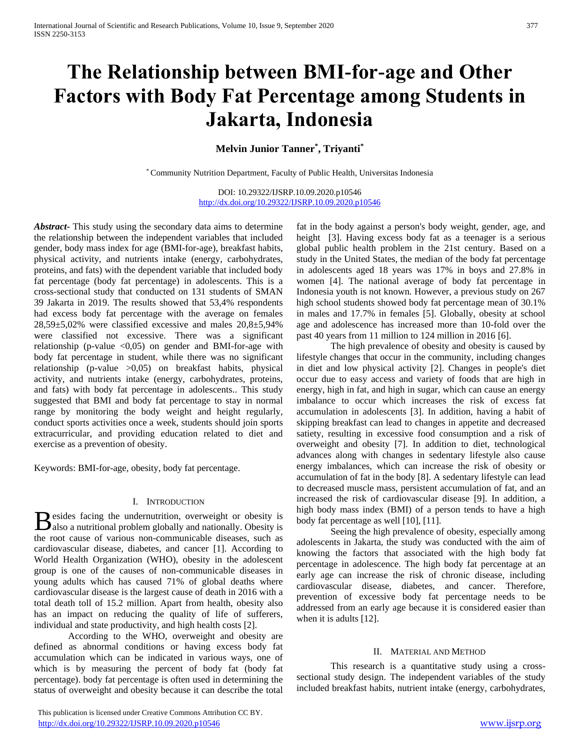# **The Relationship between BMI-for-age and Other Factors with Body Fat Percentage among Students in Jakarta, Indonesia**

# **Melvin Junior Tanner\* , Triyanti\***

\* Community Nutrition Department, Faculty of Public Health, Universitas Indonesia

DOI: 10.29322/IJSRP.10.09.2020.p10546 <http://dx.doi.org/10.29322/IJSRP.10.09.2020.p10546>

*Abstract***-** This study using the secondary data aims to determine the relationship between the independent variables that included gender, body mass index for age (BMI-for-age), breakfast habits, physical activity, and nutrients intake (energy, carbohydrates, proteins, and fats) with the dependent variable that included body fat percentage (body fat percentage) in adolescents. This is a cross-sectional study that conducted on 131 students of SMAN 39 Jakarta in 2019. The results showed that 53,4% respondents had excess body fat percentage with the average on females 28,59±5,02% were classified excessive and males 20,8±5,94% were classified not excessive. There was a significant relationship (p-value  $\langle 0,05 \rangle$  on gender and BMI-for-age with body fat percentage in student, while there was no significant relationship (p-value >0,05) on breakfast habits, physical activity, and nutrients intake (energy, carbohydrates, proteins, and fats) with body fat percentage in adolescents.. This study suggested that BMI and body fat percentage to stay in normal range by monitoring the body weight and height regularly, conduct sports activities once a week, students should join sports extracurricular, and providing education related to diet and exercise as a prevention of obesity.

Keywords: BMI-for-age, obesity, body fat percentage.

#### I. INTRODUCTION

esides facing the undernutrition, overweight or obesity is **B** esides facing the undernutrition, overweight or obesity is also a nutritional problem globally and nationally. Obesity is the root cause of various non-communicable diseases, such as cardiovascular disease, diabetes, and cancer [1]. According to World Health Organization (WHO), obesity in the adolescent group is one of the causes of non-communicable diseases in young adults which has caused 71% of global deaths where cardiovascular disease is the largest cause of death in 2016 with a total death toll of 15.2 million. Apart from health, obesity also has an impact on reducing the quality of life of sufferers, individual and state productivity, and high health costs [2].

According to the WHO, overweight and obesity are defined as abnormal conditions or having excess body fat accumulation which can be indicated in various ways, one of which is by measuring the percent of body fat (body fat percentage). body fat percentage is often used in determining the status of overweight and obesity because it can describe the total

 This publication is licensed under Creative Commons Attribution CC BY. <http://dx.doi.org/10.29322/IJSRP.10.09.2020.p10546> [www.ijsrp.org](http://ijsrp.org/)

fat in the body against a person's body weight, gender, age, and height [3]. Having excess body fat as a teenager is a serious global public health problem in the 21st century. Based on a study in the United States, the median of the body fat percentage in adolescents aged 18 years was 17% in boys and 27.8% in women [4]. The national average of body fat percentage in Indonesia youth is not known. However, a previous study on 267 high school students showed body fat percentage mean of 30.1% in males and 17.7% in females [5]. Globally, obesity at school age and adolescence has increased more than 10-fold over the past 40 years from 11 million to 124 million in 2016 [6].

The high prevalence of obesity and obesity is caused by lifestyle changes that occur in the community, including changes in diet and low physical activity [2]. Changes in people's diet occur due to easy access and variety of foods that are high in energy, high in fat, and high in sugar, which can cause an energy imbalance to occur which increases the risk of excess fat accumulation in adolescents [3]. In addition, having a habit of skipping breakfast can lead to changes in appetite and decreased satiety, resulting in excessive food consumption and a risk of overweight and obesity [7]. In addition to diet, technological advances along with changes in sedentary lifestyle also cause energy imbalances, which can increase the risk of obesity or accumulation of fat in the body [8]. A sedentary lifestyle can lead to decreased muscle mass, persistent accumulation of fat, and an increased the risk of cardiovascular disease [9]. In addition, a high body mass index (BMI) of a person tends to have a high body fat percentage as well [10], [11].

Seeing the high prevalence of obesity, especially among adolescents in Jakarta, the study was conducted with the aim of knowing the factors that associated with the high body fat percentage in adolescence. The high body fat percentage at an early age can increase the risk of chronic disease, including cardiovascular disease, diabetes, and cancer. Therefore, prevention of excessive body fat percentage needs to be addressed from an early age because it is considered easier than when it is adults [12].

#### II. MATERIAL AND METHOD

This research is a quantitative study using a crosssectional study design. The independent variables of the study included breakfast habits, nutrient intake (energy, carbohydrates,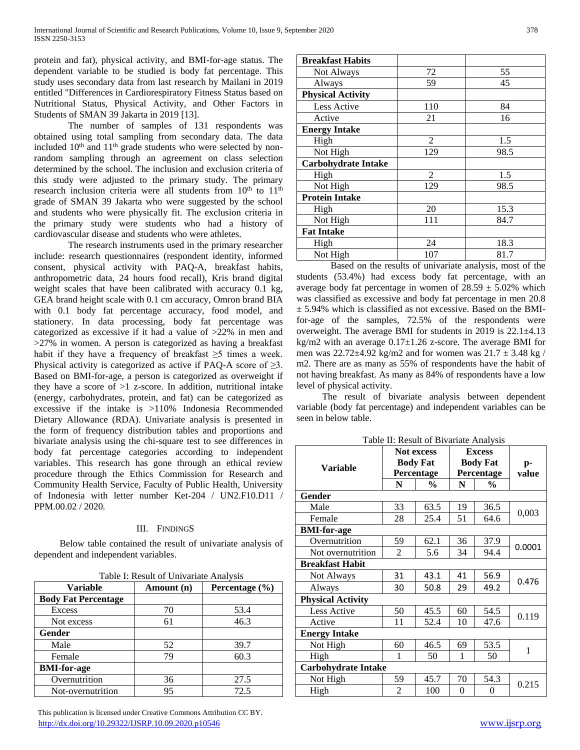protein and fat), physical activity, and BMI-for-age status. The dependent variable to be studied is body fat percentage. This study uses secondary data from last research by Mailani in 2019 entitled "Differences in Cardiorespiratory Fitness Status based on Nutritional Status, Physical Activity, and Other Factors in Students of SMAN 39 Jakarta in 2019 [13].

The number of samples of 131 respondents was obtained using total sampling from secondary data. The data included 10<sup>th</sup> and 11<sup>th</sup> grade students who were selected by nonrandom sampling through an agreement on class selection determined by the school. The inclusion and exclusion criteria of this study were adjusted to the primary study. The primary research inclusion criteria were all students from 10<sup>th</sup> to 11<sup>th</sup> grade of SMAN 39 Jakarta who were suggested by the school and students who were physically fit. The exclusion criteria in the primary study were students who had a history of cardiovascular disease and students who were athletes.

The research instruments used in the primary researcher include: research questionnaires (respondent identity, informed consent, physical activity with PAQ-A, breakfast habits, anthropometric data, 24 hours food recall), Kris brand digital weight scales that have been calibrated with accuracy 0.1 kg, GEA brand height scale with 0.1 cm accuracy, Omron brand BIA with 0.1 body fat percentage accuracy, food model, and stationery. In data processing, body fat percentage was categorized as excessive if it had a value of >22% in men and >27% in women. A person is categorized as having a breakfast habit if they have a frequency of breakfast ≥5 times a week. Physical activity is categorized as active if PAQ-A score of  $\geq 3$ . Based on BMI-for-age, a person is categorized as overweight if they have a score of  $>1$  z-score. In addition, nutritional intake (energy, carbohydrates, protein, and fat) can be categorized as excessive if the intake is >110% Indonesia Recommended Dietary Allowance (RDA). Univariate analysis is presented in the form of frequency distribution tables and proportions and bivariate analysis using the chi-square test to see differences in body fat percentage categories according to independent variables. This research has gone through an ethical review procedure through the Ethics Commission for Research and Community Health Service, Faculty of Public Health, University of Indonesia with letter number Ket-204 / UN2.F10.D11 / PPM.00.02 / 2020*.*

## III. FINDINGS

Below table contained the result of univariate analysis of dependent and independent variables.

|  |  |  | Table I: Result of Univariate Analysis |
|--|--|--|----------------------------------------|
|  |  |  |                                        |

| Variable                   | Amount (n) | Percentage $(\% )$ |
|----------------------------|------------|--------------------|
| <b>Body Fat Percentage</b> |            |                    |
| Excess                     | 70         | 53.4               |
| Not excess                 | 61         | 46.3               |
| <b>Gender</b>              |            |                    |
| Male                       | 52         | 39.7               |
| Female                     | 79         | 60.3               |
| <b>BMI-for-age</b>         |            |                    |
| Overnutrition              | 36         | 27.5               |
| Not-overnutrition          | 95         | 72.5               |

 This publication is licensed under Creative Commons Attribution CC BY. <http://dx.doi.org/10.29322/IJSRP.10.09.2020.p10546> [www.ijsrp.org](http://ijsrp.org/)

| <b>Breakfast Habits</b>    |                |      |
|----------------------------|----------------|------|
| Not Always                 | 72             | 55   |
| Always                     | 59             | 45   |
| <b>Physical Activity</b>   |                |      |
| Less Active                | 110            | 84   |
| Active                     | 21             | 16   |
| <b>Energy Intake</b>       |                |      |
| High                       | 2              | 1.5  |
| Not High                   | 129            | 98.5 |
| <b>Carbohydrate Intake</b> |                |      |
| High                       | $\overline{2}$ | 1.5  |
| Not High                   | 129            | 98.5 |
| <b>Protein Intake</b>      |                |      |
| High                       | 20             | 15.3 |
| Not High                   | 111            | 84.7 |
| <b>Fat Intake</b>          |                |      |
| High                       | 24             | 18.3 |
| Not High                   | 107            | 81.7 |

Based on the results of univariate analysis, most of the students (53.4%) had excess body fat percentage, with an average body fat percentage in women of  $28.59 \pm 5.02\%$  which was classified as excessive and body fat percentage in men 20.8  $± 5.94%$  which is classified as not excessive. Based on the BMIfor-age of the samples, 72.5% of the respondents were overweight. The average BMI for students in 2019 is 22.1±4.13 kg/m2 with an average  $0.17 \pm 1.26$  z-score. The average BMI for men was  $22.72 \pm 4.92$  kg/m2 and for women was  $21.7 \pm 3.48$  kg / m2. There are as many as 55% of respondents have the habit of not having breakfast. As many as 84% of respondents have a low level of physical activity.

The result of bivariate analysis between dependent variable (body fat percentage) and independent variables can be seen in below table.

|  |  |  |  | Table II: Result of Bivariate Analysis |
|--|--|--|--|----------------------------------------|
|--|--|--|--|----------------------------------------|

|                            | <b>Not excess</b><br><b>Body Fat</b><br>Percentage |               | <b>Excess</b><br><b>Body Fat</b><br>Percentage |               | p-<br>value |  |  |
|----------------------------|----------------------------------------------------|---------------|------------------------------------------------|---------------|-------------|--|--|
|                            |                                                    |               |                                                |               |             |  |  |
| <b>Variable</b>            |                                                    |               |                                                |               |             |  |  |
|                            | N                                                  | $\frac{0}{0}$ | N                                              | $\frac{0}{0}$ |             |  |  |
| Gender                     |                                                    |               |                                                |               |             |  |  |
| Male                       | 33                                                 | 63.5          | 19                                             | 36.5          |             |  |  |
| Female                     | 28                                                 | 25.4          | 51                                             | 64.6          | 0,003       |  |  |
| <b>BMI-for-age</b>         |                                                    |               |                                                |               |             |  |  |
| Overnutrition              | 59                                                 | 62.1          | 36                                             | 37.9          | 0.0001      |  |  |
| Not overnutrition          | 2                                                  | 5.6           | 34                                             | 94.4          |             |  |  |
| <b>Breakfast Habit</b>     |                                                    |               |                                                |               |             |  |  |
| Not Always                 | 31                                                 | 43.1          | 41                                             | 56.9          | 0.476       |  |  |
| Always                     | 30                                                 | 50.8          | 29                                             | 49.2          |             |  |  |
| <b>Physical Activity</b>   |                                                    |               |                                                |               |             |  |  |
| Less Active                | 50                                                 | 45.5          | 60                                             | 54.5          | 0.119       |  |  |
| Active                     | 11                                                 | 52.4          | 10                                             | 47.6          |             |  |  |
| <b>Energy Intake</b>       |                                                    |               |                                                |               |             |  |  |
| Not High                   | 60                                                 | 46.5          | 69                                             | 53.5          | 1           |  |  |
| High                       | 1                                                  | 50            | 1                                              | 50            |             |  |  |
| <b>Carbohydrate Intake</b> |                                                    |               |                                                |               |             |  |  |
| Not High                   | 59                                                 | 45.7          | 70                                             | 54.3          |             |  |  |
| High                       | 2                                                  | 100           | 0                                              | 0             | 0.215       |  |  |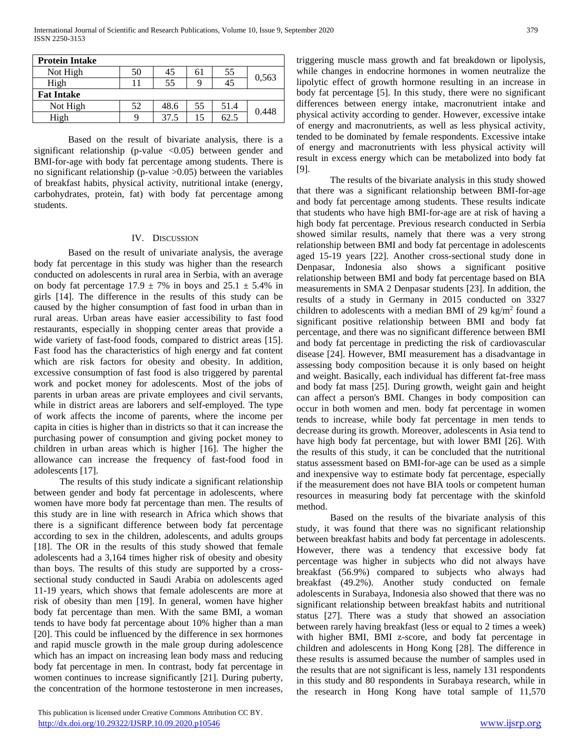| <b>Protein Intake</b> |    |      |    |      |       |  |  |
|-----------------------|----|------|----|------|-------|--|--|
| Not High              | 50 | 45   | 61 | 55   | 0.563 |  |  |
| High                  |    | 55   | Q  | 45   |       |  |  |
| <b>Fat Intake</b>     |    |      |    |      |       |  |  |
| Not High              | 52 | 48.6 | 55 | 51.4 | 0.448 |  |  |
| High                  |    | 37.5 | 15 | 62.5 |       |  |  |

Based on the result of bivariate analysis, there is a significant relationship (p-value  $\langle 0.05 \rangle$  between gender and BMI-for-age with body fat percentage among students. There is no significant relationship (p-value >0.05) between the variables of breakfast habits, physical activity, nutritional intake (energy, carbohydrates, protein, fat) with body fat percentage among students.

#### IV. DISCUSSION

Based on the result of univariate analysis, the average body fat percentage in this study was higher than the research conducted on adolescents in rural area in Serbia, with an average on body fat percentage  $17.9 \pm 7\%$  in boys and  $25.1 \pm 5.4\%$  in girls [14]. The difference in the results of this study can be caused by the higher consumption of fast food in urban than in rural areas. Urban areas have easier accessibility to fast food restaurants, especially in shopping center areas that provide a wide variety of fast-food foods, compared to district areas [15]. Fast food has the characteristics of high energy and fat content which are risk factors for obesity and obesity. In addition, excessive consumption of fast food is also triggered by parental work and pocket money for adolescents. Most of the jobs of parents in urban areas are private employees and civil servants, while in district areas are laborers and self-employed. The type of work affects the income of parents, where the income per capita in cities is higher than in districts so that it can increase the purchasing power of consumption and giving pocket money to children in urban areas which is higher [16]. The higher the allowance can increase the frequency of fast-food food in adolescents [17].

The results of this study indicate a significant relationship between gender and body fat percentage in adolescents, where women have more body fat percentage than men. The results of this study are in line with research in Africa which shows that there is a significant difference between body fat percentage according to sex in the children, adolescents, and adults groups [18]. The OR in the results of this study showed that female adolescents had a 3,164 times higher risk of obesity and obesity than boys. The results of this study are supported by a crosssectional study conducted in Saudi Arabia on adolescents aged 11-19 years, which shows that female adolescents are more at risk of obesity than men [19]. In general, women have higher body fat percentage than men. With the same BMI, a woman tends to have body fat percentage about 10% higher than a man [20]. This could be influenced by the difference in sex hormones and rapid muscle growth in the male group during adolescence which has an impact on increasing lean body mass and reducing body fat percentage in men. In contrast, body fat percentage in women continues to increase significantly [21]. During puberty, the concentration of the hormone testosterone in men increases,

triggering muscle mass growth and fat breakdown or lipolysis, while changes in endocrine hormones in women neutralize the lipolytic effect of growth hormone resulting in an increase in body fat percentage [5]. In this study, there were no significant differences between energy intake, macronutrient intake and physical activity according to gender. However, excessive intake of energy and macronutrients, as well as less physical activity, tended to be dominated by female respondents. Excessive intake of energy and macronutrients with less physical activity will result in excess energy which can be metabolized into body fat [9].

The results of the bivariate analysis in this study showed that there was a significant relationship between BMI-for-age and body fat percentage among students. These results indicate that students who have high BMI-for-age are at risk of having a high body fat percentage. Previous research conducted in Serbia showed similar results, namely that there was a very strong relationship between BMI and body fat percentage in adolescents aged 15-19 years [22]. Another cross-sectional study done in Denpasar, Indonesia also shows a significant positive relationship between BMI and body fat percentage based on BIA measurements in SMA 2 Denpasar students [23]. In addition, the results of a study in Germany in 2015 conducted on 3327 children to adolescents with a median BMI of 29 kg/m<sup>2</sup> found a significant positive relationship between BMI and body fat percentage, and there was no significant difference between BMI and body fat percentage in predicting the risk of cardiovascular disease [24]. However, BMI measurement has a disadvantage in assessing body composition because it is only based on height and weight. Basically, each individual has different fat-free mass and body fat mass [25]. During growth, weight gain and height can affect a person's BMI. Changes in body composition can occur in both women and men. body fat percentage in women tends to increase, while body fat percentage in men tends to decrease during its growth. Moreover, adolescents in Asia tend to have high body fat percentage, but with lower BMI [26]. With the results of this study, it can be concluded that the nutritional status assessment based on BMI-for-age can be used as a simple and inexpensive way to estimate body fat percentage, especially if the measurement does not have BIA tools or competent human resources in measuring body fat percentage with the skinfold method.

Based on the results of the bivariate analysis of this study, it was found that there was no significant relationship between breakfast habits and body fat percentage in adolescents. However, there was a tendency that excessive body fat percentage was higher in subjects who did not always have breakfast (56.9%) compared to subjects who always had breakfast (49.2%). Another study conducted on female adolescents in Surabaya, Indonesia also showed that there was no significant relationship between breakfast habits and nutritional status [27]. There was a study that showed an association between rarely having breakfast (less or equal to 2 times a week) with higher BMI, BMI z-score, and body fat percentage in children and adolescents in Hong Kong [28]. The difference in these results is assumed because the number of samples used in the results that are not significant is less, namely 131 respondents in this study and 80 respondents in Surabaya research, while in the research in Hong Kong have total sample of 11,570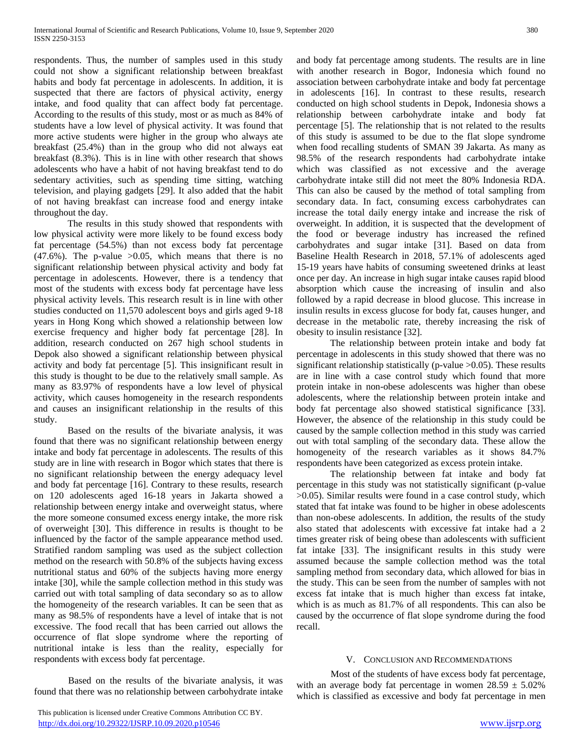respondents. Thus, the number of samples used in this study could not show a significant relationship between breakfast habits and body fat percentage in adolescents. In addition, it is suspected that there are factors of physical activity, energy intake, and food quality that can affect body fat percentage. According to the results of this study, most or as much as 84% of students have a low level of physical activity. It was found that more active students were higher in the group who always ate breakfast (25.4%) than in the group who did not always eat breakfast (8.3%). This is in line with other research that shows adolescents who have a habit of not having breakfast tend to do sedentary activities, such as spending time sitting, watching television, and playing gadgets [29]. It also added that the habit of not having breakfast can increase food and energy intake throughout the day.

The results in this study showed that respondents with low physical activity were more likely to be found excess body fat percentage (54.5%) than not excess body fat percentage  $(47.6\%)$ . The p-value  $>0.05$ , which means that there is no significant relationship between physical activity and body fat percentage in adolescents. However, there is a tendency that most of the students with excess body fat percentage have less physical activity levels. This research result is in line with other studies conducted on 11,570 adolescent boys and girls aged 9-18 years in Hong Kong which showed a relationship between low exercise frequency and higher body fat percentage [28]. In addition, research conducted on 267 high school students in Depok also showed a significant relationship between physical activity and body fat percentage [5]. This insignificant result in this study is thought to be due to the relatively small sample. As many as 83.97% of respondents have a low level of physical activity, which causes homogeneity in the research respondents and causes an insignificant relationship in the results of this study.

Based on the results of the bivariate analysis, it was found that there was no significant relationship between energy intake and body fat percentage in adolescents. The results of this study are in line with research in Bogor which states that there is no significant relationship between the energy adequacy level and body fat percentage [16]. Contrary to these results, research on 120 adolescents aged 16-18 years in Jakarta showed a relationship between energy intake and overweight status, where the more someone consumed excess energy intake, the more risk of overweight [30]. This difference in results is thought to be influenced by the factor of the sample appearance method used. Stratified random sampling was used as the subject collection method on the research with 50.8% of the subjects having excess nutritional status and 60% of the subjects having more energy intake [30], while the sample collection method in this study was carried out with total sampling of data secondary so as to allow the homogeneity of the research variables. It can be seen that as many as 98.5% of respondents have a level of intake that is not excessive. The food recall that has been carried out allows the occurrence of flat slope syndrome where the reporting of nutritional intake is less than the reality, especially for respondents with excess body fat percentage.

Based on the results of the bivariate analysis, it was found that there was no relationship between carbohydrate intake and body fat percentage among students. The results are in line with another research in Bogor, Indonesia which found no association between carbohydrate intake and body fat percentage in adolescents [16]. In contrast to these results, research conducted on high school students in Depok, Indonesia shows a relationship between carbohydrate intake and body fat percentage [5]. The relationship that is not related to the results of this study is assumed to be due to the flat slope syndrome when food recalling students of SMAN 39 Jakarta. As many as 98.5% of the research respondents had carbohydrate intake which was classified as not excessive and the average carbohydrate intake still did not meet the 80% Indonesia RDA. This can also be caused by the method of total sampling from secondary data. In fact, consuming excess carbohydrates can increase the total daily energy intake and increase the risk of overweight. In addition, it is suspected that the development of the food or beverage industry has increased the refined carbohydrates and sugar intake [31]. Based on data from Baseline Health Research in 2018, 57.1% of adolescents aged 15-19 years have habits of consuming sweetened drinks at least once per day. An increase in high sugar intake causes rapid blood absorption which cause the increasing of insulin and also followed by a rapid decrease in blood glucose. This increase in insulin results in excess glucose for body fat, causes hunger, and decrease in the metabolic rate, thereby increasing the risk of obesity to insulin resistance [32].

The relationship between protein intake and body fat percentage in adolescents in this study showed that there was no significant relationship statistically ( $p$ -value  $>0.05$ ). These results are in line with a case control study which found that more protein intake in non-obese adolescents was higher than obese adolescents, where the relationship between protein intake and body fat percentage also showed statistical significance [33]. However, the absence of the relationship in this study could be caused by the sample collection method in this study was carried out with total sampling of the secondary data. These allow the homogeneity of the research variables as it shows 84.7% respondents have been categorized as excess protein intake.

The relationship between fat intake and body fat percentage in this study was not statistically significant (p-value >0.05). Similar results were found in a case control study, which stated that fat intake was found to be higher in obese adolescents than non-obese adolescents. In addition, the results of the study also stated that adolescents with excessive fat intake had a 2 times greater risk of being obese than adolescents with sufficient fat intake [33]. The insignificant results in this study were assumed because the sample collection method was the total sampling method from secondary data, which allowed for bias in the study. This can be seen from the number of samples with not excess fat intake that is much higher than excess fat intake, which is as much as 81.7% of all respondents. This can also be caused by the occurrence of flat slope syndrome during the food recall.

## V. CONCLUSION AND RECOMMENDATIONS

Most of the students of have excess body fat percentage, with an average body fat percentage in women  $28.59 \pm 5.02\%$ which is classified as excessive and body fat percentage in men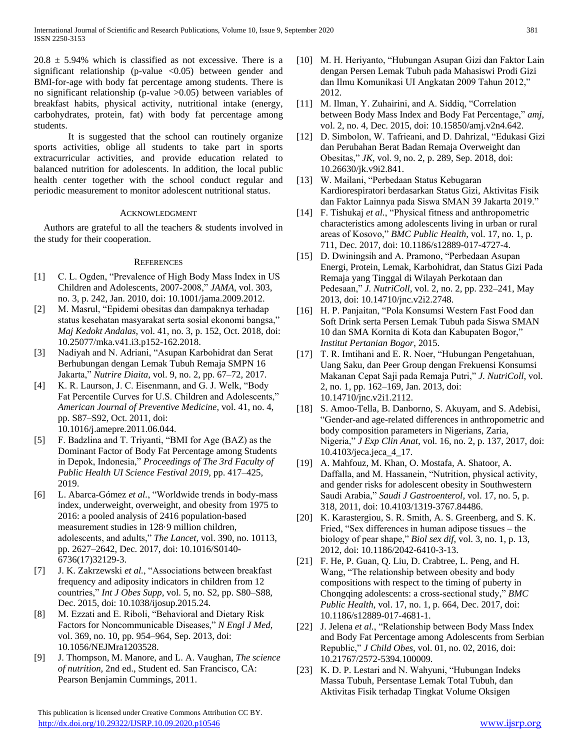$20.8 \pm 5.94\%$  which is classified as not excessive. There is a significant relationship (p-value  $\langle 0.05 \rangle$  between gender and BMI-for-age with body fat percentage among students. There is no significant relationship (p-value >0.05) between variables of breakfast habits, physical activity, nutritional intake (energy, carbohydrates, protein, fat) with body fat percentage among students.

It is suggested that the school can routinely organize sports activities, oblige all students to take part in sports extracurricular activities, and provide education related to balanced nutrition for adolescents. In addition, the local public health center together with the school conduct regular and periodic measurement to monitor adolescent nutritional status.

## ACKNOWLEDGMENT

Authors are grateful to all the teachers & students involved in the study for their cooperation.

#### **REFERENCES**

- [1] C. L. Ogden, "Prevalence of High Body Mass Index in US Children and Adolescents, 2007-2008," *JAMA*, vol. 303, no. 3, p. 242, Jan. 2010, doi: 10.1001/jama.2009.2012.
- [2] M. Masrul, "Epidemi obesitas dan dampaknya terhadap status kesehatan masyarakat serta sosial ekonomi bangsa," *Maj Kedokt Andalas*, vol. 41, no. 3, p. 152, Oct. 2018, doi: 10.25077/mka.v41.i3.p152-162.2018.
- [3] Nadiyah and N. Adriani, "Asupan Karbohidrat dan Serat Berhubungan dengan Lemak Tubuh Remaja SMPN 16 Jakarta," *Nutrire Diaita*, vol. 9, no. 2, pp. 67–72, 2017.
- [4] K. R. Laurson, J. C. Eisenmann, and G. J. Welk, "Body" Fat Percentile Curves for U.S. Children and Adolescents," *American Journal of Preventive Medicine*, vol. 41, no. 4, pp. S87–S92, Oct. 2011, doi: 10.1016/j.amepre.2011.06.044.
- [5] F. Badzlina and T. Triyanti, "BMI for Age (BAZ) as the Dominant Factor of Body Fat Percentage among Students in Depok, Indonesia," *Proceedings of The 3rd Faculty of Public Health UI Science Festival 2019*, pp. 417–425, 2019.
- [6] L. Abarca-Gómez *et al.*, "Worldwide trends in body-mass index, underweight, overweight, and obesity from 1975 to 2016: a pooled analysis of 2416 population-based measurement studies in 128·9 million children, adolescents, and adults," *The Lancet*, vol. 390, no. 10113, pp. 2627–2642, Dec. 2017, doi: 10.1016/S0140- 6736(17)32129-3.
- [7] J. K. Zakrzewski *et al.*, "Associations between breakfast frequency and adiposity indicators in children from 12 countries," *Int J Obes Supp*, vol. 5, no. S2, pp. S80–S88, Dec. 2015, doi: 10.1038/ijosup.2015.24.
- [8] M. Ezzati and E. Riboli, "Behavioral and Dietary Risk Factors for Noncommunicable Diseases," *N Engl J Med*, vol. 369, no. 10, pp. 954–964, Sep. 2013, doi: 10.1056/NEJMra1203528.
- [9] J. Thompson, M. Manore, and L. A. Vaughan, *The science of nutrition*, 2nd ed., Student ed. San Francisco, CA: Pearson Benjamin Cummings, 2011.

 This publication is licensed under Creative Commons Attribution CC BY. <http://dx.doi.org/10.29322/IJSRP.10.09.2020.p10546> [www.ijsrp.org](http://ijsrp.org/)

- [10] M. H. Heriyanto, "Hubungan Asupan Gizi dan Faktor Lain dengan Persen Lemak Tubuh pada Mahasiswi Prodi Gizi dan Ilmu Komunikasi UI Angkatan 2009 Tahun 2012," 2012.
- [11] M. Ilman, Y. Zuhairini, and A. Siddiq, "Correlation between Body Mass Index and Body Fat Percentage," *amj*, vol. 2, no. 4, Dec. 2015, doi: 10.15850/amj.v2n4.642.
- [12] D. Simbolon, W. Tafrieani, and D. Dahrizal, "Edukasi Gizi dan Perubahan Berat Badan Remaja Overweight dan Obesitas," *JK*, vol. 9, no. 2, p. 289, Sep. 2018, doi: 10.26630/jk.v9i2.841.
- [13] W. Mailani, "Perbedaan Status Kebugaran Kardiorespiratori berdasarkan Status Gizi, Aktivitas Fisik dan Faktor Lainnya pada Siswa SMAN 39 Jakarta 2019."
- [14] F. Tishukaj *et al.*, "Physical fitness and anthropometric characteristics among adolescents living in urban or rural areas of Kosovo," *BMC Public Health*, vol. 17, no. 1, p. 711, Dec. 2017, doi: 10.1186/s12889-017-4727-4.
- [15] D. Dwiningsih and A. Pramono, "Perbedaan Asupan Energi, Protein, Lemak, Karbohidrat, dan Status Gizi Pada Remaja yang Tinggal di Wilayah Perkotaan dan Pedesaan," *J. NutriColl*, vol. 2, no. 2, pp. 232–241, May 2013, doi: 10.14710/jnc.v2i2.2748.
- [16] H. P. Panjaitan, "Pola Konsumsi Western Fast Food dan Soft Drink serta Persen Lemak Tubuh pada Siswa SMAN 10 dan SMA Kornita di Kota dan Kabupaten Bogor," *Institut Pertanian Bogor*, 2015.
- [17] T. R. Imtihani and E. R. Noer, "Hubungan Pengetahuan, Uang Saku, dan Peer Group dengan Frekuensi Konsumsi Makanan Cepat Saji pada Remaja Putri," *J. NutriColl*, vol. 2, no. 1, pp. 162–169, Jan. 2013, doi: 10.14710/jnc.v2i1.2112.
- [18] S. Amoo-Tella, B. Danborno, S. Akuyam, and S. Adebisi, "Gender-and age-related differences in anthropometric and body composition parameters in Nigerians, Zaria, Nigeria," *J Exp Clin Anat*, vol. 16, no. 2, p. 137, 2017, doi: 10.4103/jeca.jeca\_4\_17.
- [19] A. Mahfouz, M. Khan, O. Mostafa, A. Shatoor, A. Daffalla, and M. Hassanein, "Nutrition, physical activity, and gender risks for adolescent obesity in Southwestern Saudi Arabia," *Saudi J Gastroenterol*, vol. 17, no. 5, p. 318, 2011, doi: 10.4103/1319-3767.84486.
- [20] K. Karastergiou, S. R. Smith, A. S. Greenberg, and S. K. Fried, "Sex differences in human adipose tissues – the biology of pear shape," *Biol sex dif*, vol. 3, no. 1, p. 13, 2012, doi: 10.1186/2042-6410-3-13.
- [21] F. He, P. Guan, Q. Liu, D. Crabtree, L. Peng, and H. Wang, "The relationship between obesity and body compositions with respect to the timing of puberty in Chongqing adolescents: a cross-sectional study," *BMC Public Health*, vol. 17, no. 1, p. 664, Dec. 2017, doi: 10.1186/s12889-017-4681-1.
- [22] J. Jelena *et al.*, "Relationship between Body Mass Index and Body Fat Percentage among Adolescents from Serbian Republic," *J Child Obes*, vol. 01, no. 02, 2016, doi: 10.21767/2572-5394.100009.
- [23] K. D. P. Lestari and N. Wahyuni, "Hubungan Indeks Massa Tubuh, Persentase Lemak Total Tubuh, dan Aktivitas Fisik terhadap Tingkat Volume Oksigen